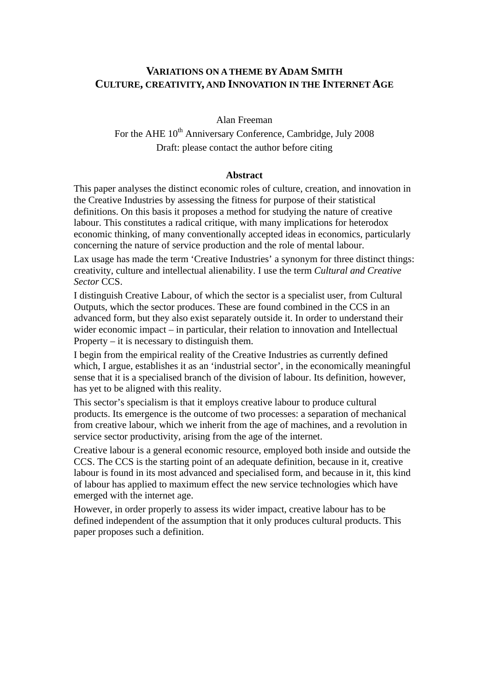## **VARIATIONS ON A THEME BY ADAM SMITH CULTURE, CREATIVITY, AND INNOVATION IN THE INTERNET AGE**

Alan Freeman

For the AHE  $10^{th}$  Anniversary Conference, Cambridge, July 2008 Draft: please contact the author before citing

#### **Abstract**

This paper analyses the distinct economic roles of culture, creation, and innovation in the Creative Industries by assessing the fitness for purpose of their statistical definitions. On this basis it proposes a method for studying the nature of creative labour. This constitutes a radical critique, with many implications for heterodox economic thinking, of many conventionally accepted ideas in economics, particularly concerning the nature of service production and the role of mental labour.

Lax usage has made the term 'Creative Industries' a synonym for three distinct things: creativity, culture and intellectual alienability. I use the term *Cultural and Creative Sector* CCS.

I distinguish Creative Labour, of which the sector is a specialist user, from Cultural Outputs, which the sector produces. These are found combined in the CCS in an advanced form, but they also exist separately outside it. In order to understand their wider economic impact – in particular, their relation to innovation and Intellectual Property – it is necessary to distinguish them.

I begin from the empirical reality of the Creative Industries as currently defined which, I argue, establishes it as an 'industrial sector', in the economically meaningful sense that it is a specialised branch of the division of labour. Its definition, however, has yet to be aligned with this reality.

This sector's specialism is that it employs creative labour to produce cultural products. Its emergence is the outcome of two processes: a separation of mechanical from creative labour, which we inherit from the age of machines, and a revolution in service sector productivity, arising from the age of the internet.

Creative labour is a general economic resource, employed both inside and outside the CCS. The CCS is the starting point of an adequate definition, because in it, creative labour is found in its most advanced and specialised form, and because in it, this kind of labour has applied to maximum effect the new service technologies which have emerged with the internet age.

However, in order properly to assess its wider impact, creative labour has to be defined independent of the assumption that it only produces cultural products. This paper proposes such a definition.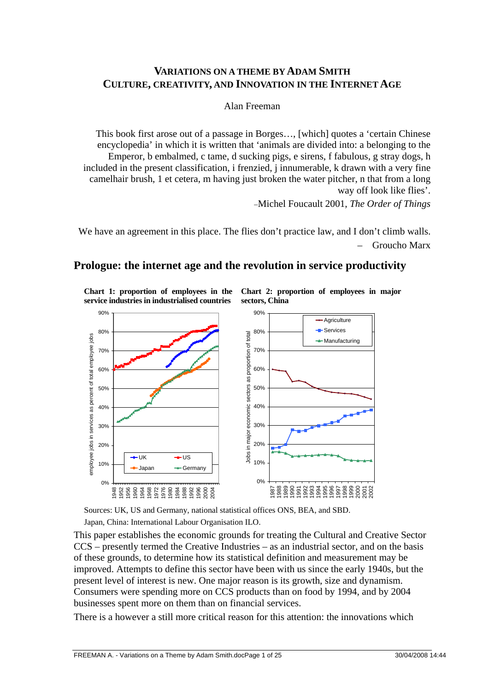## **VARIATIONS ON A THEME BY ADAM SMITH CULTURE, CREATIVITY, AND INNOVATION IN THE INTERNET AGE**

Alan Freeman

This book first arose out of a passage in Borges…, [which] quotes a 'certain Chinese encyclopedia' in which it is written that 'animals are divided into: a belonging to the Emperor, b embalmed, c tame, d sucking pigs, e sirens, f fabulous, g stray dogs, h included in the present classification, i frenzied, j innumerable, k drawn with a very fine camelhair brush, 1 et cetera, m having just broken the water pitcher, n that from a long way off look like flies'.

−Michel Foucault 2001, *The Order of Things* 

We have an agreement in this place. The flies don't practice law, and I don't climb walls. – Groucho Marx

## **Prologue: the internet age and the revolution in service productivity**

**Chart 1: proportion of employees in the service industries in industrialised countries** 

**Chart 2: proportion of employees in major sectors, China** 



Sources: UK, US and Germany, national statistical offices ONS, BEA, and SBD. Japan, China: International Labour Organisation ILO.

This paper establishes the economic grounds for treating the Cultural and Creative Sector CCS – presently termed the Creative Industries – as an industrial sector, and on the basis of these grounds, to determine how its statistical definition and measurement may be improved. Attempts to define this sector have been with us since the early 1940s, but the present level of interest is new. One major reason is its growth, size and dynamism. Consumers were spending more on CCS products than on food by 1994, and by 2004 businesses spent more on them than on financial services.

There is a however a still more critical reason for this attention: the innovations which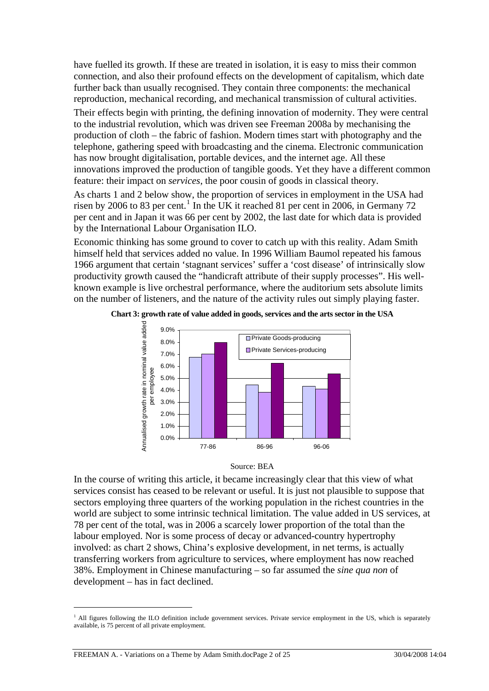have fuelled its growth. If these are treated in isolation, it is easy to miss their common connection, and also their profound effects on the development of capitalism, which date further back than usually recognised. They contain three components: the mechanical reproduction, mechanical recording, and mechanical transmission of cultural activities.

Their effects begin with printing, the defining innovation of modernity. They were central to the industrial revolution, which was driven see Freeman 2008a by mechanising the production of cloth – the fabric of fashion. Modern times start with photography and the telephone, gathering speed with broadcasting and the cinema. Electronic communication has now brought digitalisation, portable devices, and the internet age. All these innovations improved the production of tangible goods. Yet they have a different common feature: their impact on *services*, the poor cousin of goods in classical theory.

As charts 1 and 2 below show, the proportion of services in employment in the USA had risen by 2006 to 83 per cent.<sup>[1](#page-2-0)</sup> In the UK it reached 81 per cent in 2006, in Germany 72 per cent and in Japan it was 66 per cent by 2002, the last date for which data is provided by the International Labour Organisation ILO.

Economic thinking has some ground to cover to catch up with this reality. Adam Smith himself held that services added no value. In 1996 William Baumol repeated his famous 1966 argument that certain 'stagnant services' suffer a 'cost disease' of intrinsically slow productivity growth caused the "handicraft attribute of their supply processes". His wellknown example is live orchestral performance, where the auditorium sets absolute limits on the number of listeners, and the nature of the activity rules out simply playing faster.



**Chart 3: growth rate of value added in goods, services and the arts sector in the USA** 



In the course of writing this article, it became increasingly clear that this view of what services consist has ceased to be relevant or useful. It is just not plausible to suppose that sectors employing three quarters of the working population in the richest countries in the world are subject to some intrinsic technical limitation. The value added in US services, at 78 per cent of the total, was in 2006 a scarcely lower proportion of the total than the labour employed. Nor is some process of decay or advanced-country hypertrophy involved: as chart 2 shows, China's explosive development, in net terms, is actually transferring workers from agriculture to services, where employment has now reached 38%. Employment in Chinese manufacturing – so far assumed the *sine qua non* of development – has in fact declined.

<span id="page-2-0"></span><sup>&</sup>lt;sup>1</sup> All figures following the ILO definition include government services. Private service employment in the US, which is separately available, is 75 percent of all private employment.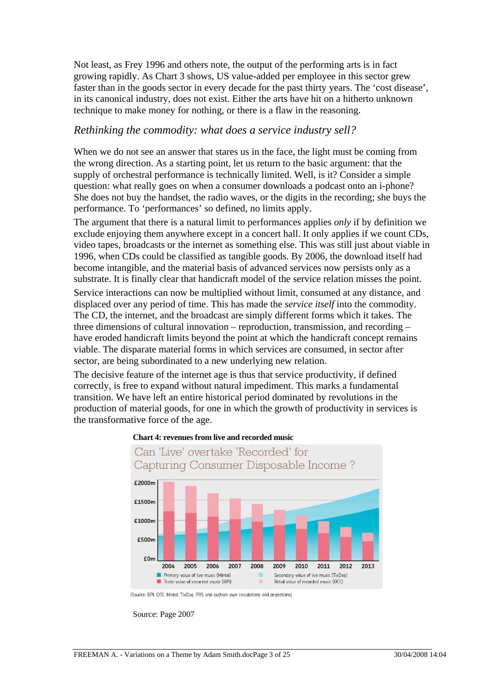Not least, as Frey 1996 and others note, the output of the performing arts is in fact growing rapidly. As Chart 3 shows, US value-added per employee in this sector grew faster than in the goods sector in every decade for the past thirty years. The 'cost diseas e', in its canonical industry, does not exist. Either the arts have hit on a hithert o unknown technique to make money for nothing, or there is a flaw in the reasoning.

#### *Rethinking the commodity: what does a service industry sell?*

When we do not see an answer that stares us in the face, the light must be coming from She does not buy the handset, the radio waves, or the digits in the recording; she buys the the wrong direction. As a starting point, let us return to the basic argument: that the supply of orchestral performance is technically limited. Well, is it? Consider a simple question: what really goes on when a consumer downloads a podcast onto an i-phone? performance. To 'performances' so defined, no limits apply.

1996, when CDs could be classified as tangible goods. By 2006, the download itself had viable. The disparate material forms in which services are consumed, in sector after The argument that there is a natural limit to performances applies *only* if by definition we exclude enjoying them anywhere except in a concert hall. It only applies if we count CDs, video tapes, broadcasts or the internet as something else. This was still just about viable in become intangible, and the material basis of advanced services now persists only as a substrate. It is finally clear that handicraft model of the service relation misses the point. Service interactions can now be multiplied without limit, consumed at any distance, and displaced over any period of time. This has made the *service itself* into the commodity. The CD, the internet, and the broadcast are simply different forms which it takes. The three dimensions of cultural innovation – reproduction, transmission, and recording – have eroded handicraft limits beyond the point at which the handicraft concept remains sector, are being subordinated to a new underlying new relation.

production of material goods, for one in which the growth of productivity in services is the transformative force of the age. The decisive feature of the internet age is thus that service productivity, if defined correctly, is free to expand without natural impediment. This marks a fundamental transition. We have left an entire historical period dominated by revolutions in the





<sup>(</sup>Source: BPI, OCC, Mintel, TlxDaq, PRS and authors own calculations and projections)

Source: Page 2007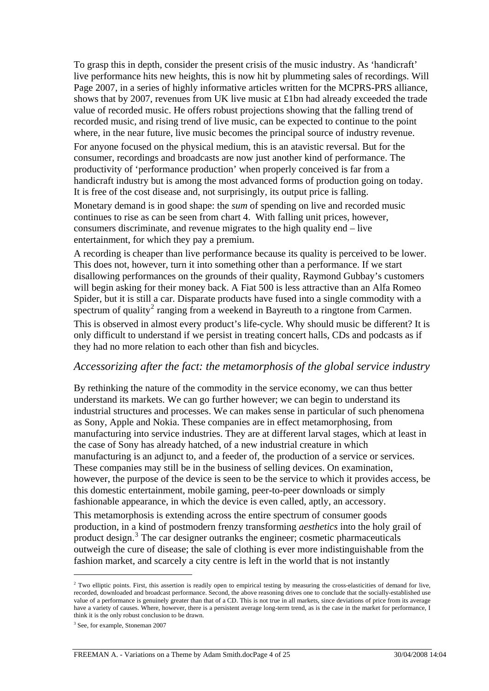To grasp this in depth, consider the present crisis of the music industry. As 'handicraft' live performance hits new heights, this is now hit by plummeting sales of recordings. Will Page 2007, in a series of highly informative articles written for the MCPRS-PRS alliance, shows that by 2007, revenues from UK live music at £1bn had already exceeded the tra de value of recorded music. He offers robust projections showing that the falling trend of recorded music, and rising trend of live music, can be expected to continue to the point where, in the near future, live music becomes the principal source of industry revenue.

consumer, recordings and broadcasts are now just another kind of performance. The handicraft industry but is among the most advanced forms of production going on today. For anyone focused on the physical medium, this is an atavistic reversal. But for the productivity of 'performance production' when properly conceived is far from a It is free of the cost disease and, not surprisingly, its output price is falling.

Monetary demand is in good shape: the *sum* of spending on live and recorded music continues to rise as can be seen from chart 4. With falling unit prices, however, consumers discriminate, and revenue migrates to the high quality end  $-$  live entertainment, for which they pay a premium.

A recording is cheaper than live performance because its quality is perceived to be lower. This does not, however, turn it into something other than a performance. If we start disallowing performances on the grounds of their quality, Raymond Gubbay's customers will begin asking for their money back. A Fiat 500 is less attractive than an Alfa Romeo Spider, but it is still a car. Disparate products have fused into a single commodity with a spectrum of quality<sup>2</sup> ranging from a weekend in Bayreuth to a ringtone from Carmen.

This is observed in almost every product's life-cycle. Why should music be different? It is only difficult to understand if we persist in treating concert halls, CDs and podcasts as if they had no more relation to each other than fish and bicycles.

#### *Accessorizing after the fact: the metamorphosis of the global service industry*

By rethinking the nature of the commodity in the service economy, we can thus better industrial structures and processes. We can makes sense in particular of such phenomena manufacturing into service industries. They are at different larval stages, which at least in manufacturing is an adjunct to, and a feeder of, the production of a service or services. however, the purpose of the device is seen to be the service to which it provides access, be understand its markets. We can go further however; we can begin to understand its as Sony, Apple and Nokia. These companies are in effect metamorphosing, from the case of Sony has already hatched, of a new industrial creature in which These companies may still be in the business of selling devices. On examination, this domestic entertainment, mobile gaming, peer-to-peer downloads or simply fashionable appearance, in which the device is even called, aptly, an accessory.

production, in a kind of postmodern frenzy transforming *aesthetics* into the holy grail of outweigh the cure of disease; the sale of clothing is ever more indistinguishable from the fashion market, and scarcely a city centre is left in the world that is not instantly This metamorphosis is extending across the entire spectrum of consumer goods product design.<sup>[3](#page-4-0)</sup> The car designer outranks the engineer; cosmetic pharmaceuticals

 $2^2$  Two elliptic points. First, this assertion is readily open to empirical testing by measuring the cross-elasticities of demand for live, recorded, downloaded and broadcast performance. Second, the above reasoning drives one to conclude that the socially-established use value of a performance is genuinely greater than that of a CD. This is not true in all markets, since deviations of price from its average have a variety of causes. Where, however, there is a persistent average long-term trend, as is the case in the market for performance, I think it is the only robust conclusion to be drawn.

<span id="page-4-0"></span><sup>&</sup>lt;sup>3</sup> See, for example, Stoneman 2007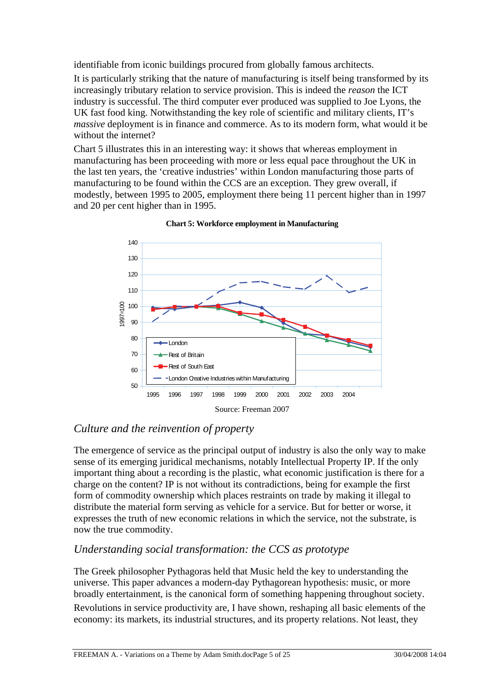identifiable from iconic buildings procured from globally famous architects.

It is particularly striking that the nature of manufacturing is itself being transformed by its increasingly tributary relation to service provision. This is indeed the *reason* the ICT industry is successful. The third computer ever produced was supplied to Joe Lyons, the UK fast food king. Notwithstanding the key role of scientific and military clients, IT's massive deployment is in finance and commerce. As to its modern form, what would it be without the internet?

modestly, between 1995 to 2005, employment there being 11 percent higher than in 1997 and 20 per cent higher than in 1995. Chart 5 illustrates this in an interesting way: it shows that whereas employment in manufacturing has been proceeding with more or less equal pace throughout the UK in the last ten years, the 'creative industries' within London manufacturing those parts of manufacturing to be found within the CCS are an exception. They grew overall, if





## *Culture and the reinvention of property*

important thing about a recording is the plastic, what economic justification is there for a expresses the truth of new economic relations in which the service, not the substrate, is The emergence of service as the principal output of industry is also the only way to make sense of its emerging juridical mechanisms, notably Intellectual Property IP. If the only charge on the content? IP is not without its contradictions, being for example the first form of commodity ownership which places restraints on trade by making it illegal to distribute the material form serving as vehicle for a service. But for better or worse, it now the true commodity.

## *Understanding social transformation: the CCS as prototype*

The Greek philosopher Pythagoras held that Music held the key to understanding the universe. This paper advances a modern-day Pythagorean hypothesis: music, or more broadly entertainment, is the canonical form of something happening throughout society. Revolutions in service productivity are, I have shown, reshaping all basic elements of the economy: its markets, its industrial structures, and its property relations. Not least, they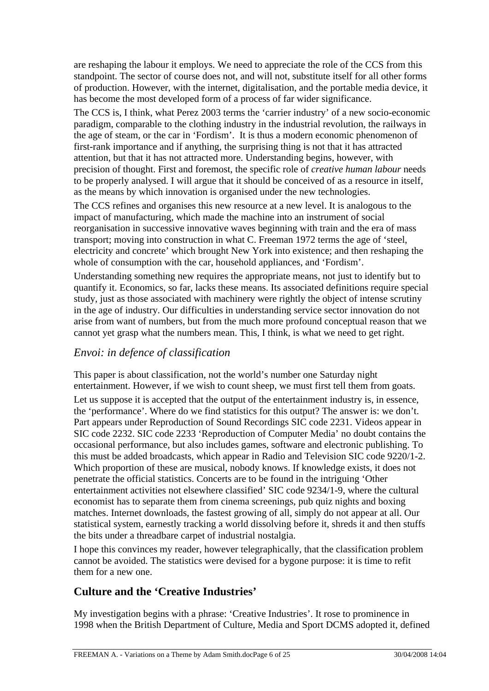are reshaping the labour it employs. We need to appreciate the role of the CCS from this standpoint. The sector of course does not, and will not, substitute itself for all other forms of production. However, with the internet, digitalisation, and the portable media device, it has become the most developed form of a process of far wider significance.

The CCS is, I think, what Perez 2003 terms the 'carrier industry' of a new socio-economic paradigm, comparable to the clothing industry in the industrial revolution, the railways i n the age of steam, or the car in 'Fordism'. It is thus a modern economic phenomenon of first-rank importance and if anything, the surprising thing is not that it has attracte d attention, but that it has not attracted more. Understanding begins, however, with precision of thought. First and foremost, the specific role of *creative human labour* needs to be properly analysed. I will argue that it should be conceived of as a resour ce in itself, as the means by which innovation is organised under the new technologies.

The CCS refines and organises this new resource at a new level. It is analogous to the reorganisation in successive innovative waves beginning with train and the era of mass electricity and concrete' which brought New York into existence; and then reshaping the impact of manufacturing, which made the machine into an instrument of social transport; moving into construction in what C. Freeman 1972 terms the age of 'steel, whole of consumption with the car, household appliances, and 'Fordism'.

quantify it. Economics, so far, lacks these means. Its associated definitions require special arise from want of numbers, but from the much more profound conceptual reason that we cannot yet grasp what the numbers mean. This, I think, is what we need to get right. Understanding something new requires the appropriate means, not just to identify but to study, just as those associated with machinery were rightly the object of intense scrutiny in the age of industry. Our difficulties in understanding service sector innovation do not

## *Envoi: in defence of classification*

This paper is about classification, not the world's number one Saturday night entertainment. However, if we wish to count sheep, we must first tell them from goats.

. this must be added broadcasts, which appear in Radio and Television SIC code 9220/1-2 Which proportion of these are musical, nobody knows. If knowledge exists, it does not entertainment activities not elsewhere classified' SIC code 9234/1-9, where the cultural statistical system, earnestly tracking a world dissolving before it, shreds it and then stuffs Let us suppose it is accepted that the output of the entertainment industry is, in essence, the 'performance'. Where do we find statistics for this output? The answer is: we don't. Part appears under Reproduction of Sound Recordings SIC code 2231. Videos appear in SIC code 2232. SIC code 2233 'Reproduction of Computer Media' no doubt contains the occasional performance, but also includes games, software and electronic publishing. To penetrate the official statistics. Concerts are to be found in the intriguing 'Other economist has to separate them from cinema screenings, pub quiz nights and boxing matches. Internet downloads, the fastest growing of all, simply do not appear at all. Our the bits under a threadbare carpet of industrial nostalgia.

I hope this convinces my reader, however telegraphically, that the classification problem cannot be avoided. The statistics were devised for a bygone purpose: it is time to refit them for a new one.

## **Culture and the 'Creative Industries'**

My investigation begins with a phrase: 'Creative Industries'. It rose to prominence in 1998 when the British Department of Culture, Media and Sport DCMS adopted it, defined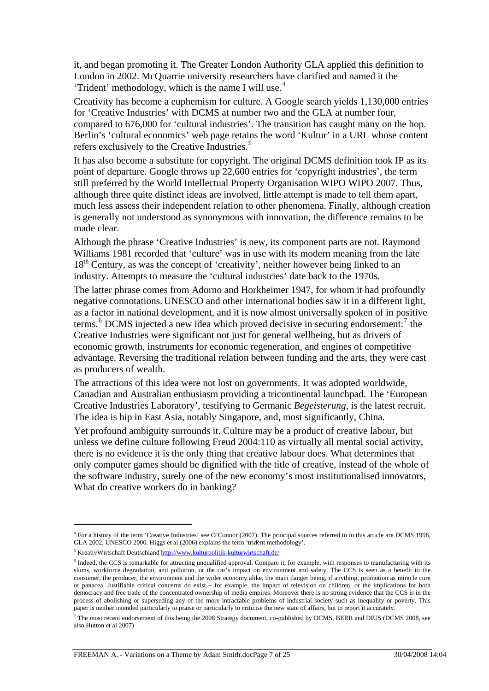it, and began promoting it. The Greater London Authority GLA applied this definiti on to London in 2002. McQuarrie university researchers hav e clarified and named it the 'Trident' methodology, which is the name I will use.[4](#page-7-0)

Creativity has become a euphemism for culture. A Google search yields 1,130,000 entries Berlin's 'cultural economics' web page retains the word 'Kultur' in a URL whose content for 'Creative Industries' with DCMS at number two and the GLA at number four, compared to 676,000 for 'cultural industries'. The transition has caught many on the hop. refers exclusively to the Creative Industries.<sup>5</sup>

It has also become a substitute for copyright. The original DCMS definition took IP as its is generally not understood as synonymous with innovation, the difference remains to be point of departure. Google throws up 22,600 entries for 'copyright industries', the term still preferred by the World Intellectual Property Organisation WIPO WIPO 2007. Thus, although three quite distinct ideas are involved, little attempt is made to tell them apart, much less assess their independent relation to other phenomena. Finally, although creation made clear.

Williams 1981 recorded that 'culture' was in use with its modern meaning from the late 18<sup>th</sup> Century, as was the concept of 'creativity', neither however being linked to an Although the phrase 'Creative Industries' is new, its component parts are not. Raymond industry. Attempts to measure the 'cultural industries' date back to the 1970s.

terms.<sup>[6](#page-7-1)</sup> DCMS injected a new idea which proved decisive in securing endorsement:<sup>[7](#page-7-2)</sup> the [advantage. Reversing the](#page-7-2) traditional relation between funding and the arts, they were cast The latter phrase comes from Adorno and Horkheimer 1947, for whom it had profoundly negative connotations. UNESCO and other international bodies saw it in a different light, as a factor in national development, and it is now almost universally spoken of in positive [Creative Industries were significant not just for general wellbeing, but as drivers of](#page-7-2)  [economic growth, instruments for economic regeneration, and engines of competitive](#page-7-2)  as producers of wealth.

Creative Industries Laboratory', testifying to Germanic *Begeisterung*, is the latest recruit. The attractions of this idea were not lost on governments. It was adopted worldwide, Canadian and Australian enthusiasm providing a tricontinental launchpad. The 'European The idea is hip in East Asia, notably Singapore, and, most significantly, China.

unless we define culture following Freud 2004:110 as virtually all mental social activity, the software industry, surely one of the new economy's most institutionalised innovators, What do creative workers do in banking? Yet profound ambiguity surrounds it. Culture may be a product of creative labour, but there is no evidence it is the only thing that creative labour does. What determines that only computer games should be dignified with the title of creative, instead of the whole of

<sup>&</sup>lt;sup>4</sup> For a history of the term 'Creative Industries' see O'Connor (2007). The principal sources referred to in this article are DCMS 1998, GLA 2002, UNESCO 2000. Higgs et al (2006) explains the term 'trident methodology'.

<span id="page-7-0"></span><sup>&</sup>lt;sup>5</sup> KreativWirtschaft Deutschland<http://www.kulturpolitik-kulturwirtschaft.de/>

<span id="page-7-1"></span><sup>&</sup>lt;sup>6</sup> Indeed, the CCS is remarkable for attracting unqualified approval. Compare it, for example, with responses to manufacturing with its slums, workforce degradation, and pollution, or the car's impact on environment and safety. The CCS is seen as a benefit to the consumer, the producer, the environment and the wider economy alike, the main danger being, if anything, promotion as miracle cure or panacea. Justifiable critical concerns do exist – for example, the impact of television on children, or the implications for both democracy and free trade of the concentrated ownership of media empires. Moreover there is no strong evidence that the CCS is in the process of abolishing or superseding any of the more intractable problems of industrial society such as inequality or poverty. This paper is neither intended particularly to praise or particularly to criticise the new state of affairs, but to report it accurately.

<span id="page-7-2"></span> $^7$  The most recent endorsement of this being the 2008 Strategy document, co-published by DCMS, BERR and DIUS (DCMS 2008, see also Hutton et al 2007)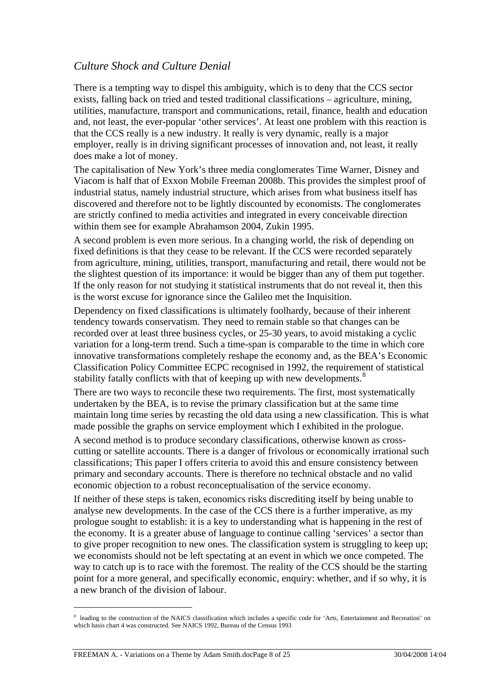#### *Culture Shock and Culture Denial*

There is a tempting way to dispel this ambiguity, which is to deny that the CCS sector exists, falling back on tried and tested traditional classifications – agriculture, mining, utilities, manufacture, transport and communications, retail, finance, health and education and, not least, the ever-popular 'other services'. At least one problem with this reaction is that the CCS really is a new industry. It really is very dynamic, really is a major employer, really is in driving significant processes of innovation and, not least, it really does make a lot of money.

The capitalisation of New York's three media conglomerates Time Warner, Disney and Viacom is half that of Exxon Mobile Freeman 2008b. This provides the simplest proof of industrial status, namely industrial structure, which arises from what business itself has discovered and therefore not to be lightly discounted by economists. The conglomerates are strictly confined to media activities and integrated in every conceivable direction within them see for example Abrahamson 2004, Zukin 1995.

A second problem is even more serious. In a changing world, the risk of depending on fixed definitions is that they cease to be relevant. If the CCS were recorded separately from agriculture, mining, utilities, transport, manufacturing and retail, there would not be the slightest question of its importance: it would be bigger than any of them put together. If the only reason for not studying it statistical instruments that do not reveal it, then this is the worst excuse for ignorance since the Galileo met the Inquisition.

Dependency on fixed classifications is ultimately foolhardy, because of their inherent tendency towards conservatism. They need to remain stable so that changes can be recorded over at least three business cycles, or 25-30 years, to avoid mistaking a cyclic variation for a long-term trend. Such a time-span is comparable to the time in which core innovative transformations completely reshape the economy and, as the BEA's Economic Classification Policy Committee ECPC recognised in 1992, the requirement of statistical stability fatally conflicts with that of keeping up with new developments.<sup>[8](#page-8-0)</sup>

There are two ways to reconcile these two requirements. The first, most systematically undertaken by the BEA, is to revise the primary classification but at the same time maintain long time series by recasting the old data using a new classification. This is what made possible the graphs on service employment which I exhibited in the prologue.

A second method is to produce secondary classifications, otherwise known as crosscutting or satellite accounts. There is a danger of frivolous or economically irrational such classifications; This paper I offers criteria to avoid this and ensure consistency between primary and secondary accounts. There is therefore no technical obstacle and no valid economic objection to a robust reconceptualisation of the service economy.

If neither of these steps is taken, economics risks discrediting itself by being unable to analyse new developments. In the case of the CCS there is a further imperative, as my prologue sought to establish: it is a key to understanding what is happening in the rest of the economy. It is a greater abuse of language to continue calling 'services' a sector than to give proper recognition to new ones. The classification system is struggling to keep up; we economists should not be left spectating at an event in which we once competed. The way to catch up is to race with the foremost. The reality of the CCS should be the starting point for a more general, and specifically economic, enquiry: whether, and if so why, it is a new branch of the division of labour.

<span id="page-8-0"></span><sup>&</sup>lt;sup>8</sup> leading to the construction of the NAICS classification which includes a specific code for 'Arts, Entertainment and Recreation' on which basis chart 4 was constructed. See NAICS 1992, Bureau of the Census 1993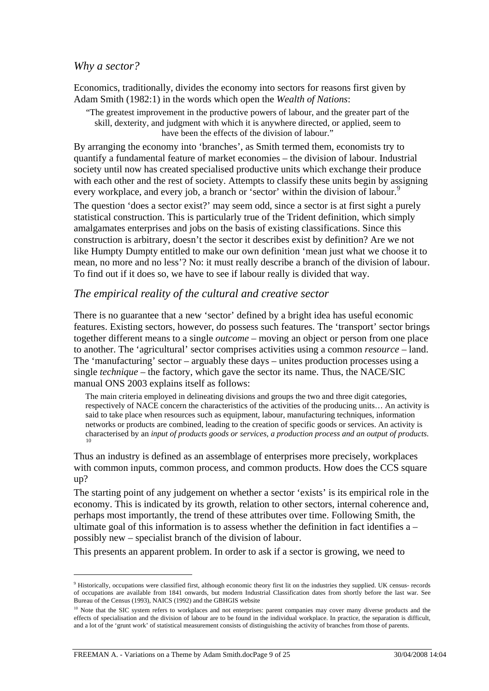#### *Why a sector?*

Economics, traditionally, divides the economy into sectors for reasons first given by Adam Smith (1982:1) in the words which open the *Wealth of Nations*:

"The greatest improvement in the productive powers of labour, and the greater part of the skill, dexterity, and judgment with which it is anywhere directed, or applied, seem to have been the effects of the division of labour."

By arranging the economy into 'branches', as Smith termed them, economists try to quantify a fundamental feature of market economies – the division of labour. Industrial society until now has created specialised productive units which exchange their produce with each other and the rest of society. Attempts to classify these units begin by assigning every workplace, and every job, a branch or 'sector' within the division of labour.<sup>[9](#page-9-0)</sup>

The question 'does a sector exist?' may seem odd, since a sector is at first sight a purely statistical construction. This is particularly true of the Trident definition, which simply amalgamates enterprises and jobs on the basis of existing classifications. Since this construction is arbitrary, doesn't the sector it describes exist by definition? Are we not like Humpty Dumpty entitled to make our own definition 'mean just what we choose it to mean, no more and no less'? No: it must really describe a branch of the division of labour. To find out if it does so, we have to see if labour really is divided that way.

#### *The empirical reality of the cultural and creative sector*

There is no guarantee that a new 'sector' defined by a bright idea has useful economic features. Existing sectors, however, do possess such features. The 'transport' sector brings together different means to a single *outcome* – moving an object or person from one place to another. The 'agricultural' sector comprises activities using a common *resource* – land. The 'manufacturing' sector – arguably these days – unites production processes using a single *technique* – the factory, which gave the sector its name. Thus, the NACE/SIC manual ONS 2003 explains itself as follows:

The main criteria employed in delineating divisions and groups the two and three digit categories, respectively of NACE concern the characteristics of the activities of the producing units… An activity is said to take place when resources such as equipment, labour, manufacturing techniques, information networks or products are combined, leading to the creation of specific goods or services. An activity is characterised by an *input of products goods or services, a production process and an output of products*.

Thus an industry is defined as an assemblage of enterprises more precisely, workplaces with common inputs, common process, and common products. How does the CCS square up?

The starting point of any judgement on whether a sector 'exists' is its empirical role in the economy. This is indicated by its growth, relation to other sectors, internal coherence and, perhaps most importantly, the trend of these attributes over time. Following Smith, the ultimate goal of this information is to assess whether the definition in fact identifies a – possibly new – specialist branch of the division of labour.

This presents an apparent problem. In order to ask if a sector is growing, we need to

<span id="page-9-0"></span><sup>&</sup>lt;sup>9</sup> Historically, occupations were classified first, although economic theory first lit on the industries they supplied. UK census- records of occupations are available from 1841 onwards, but modern Industrial Classification dates from shortly before the last war. See Bureau of the Census (1993), NAICS (1992) and the GBHGIS website

<span id="page-9-1"></span><sup>&</sup>lt;sup>10</sup> Note that the SIC system refers to workplaces and not enterprises: parent companies may cover many diverse products and the effects of specialisation and the division of labour are to be found in the individual workplace. In practice, the separation is difficult, and a lot of the 'grunt work' of statistical measurement consists of distinguishing the activity of branches from those of parents.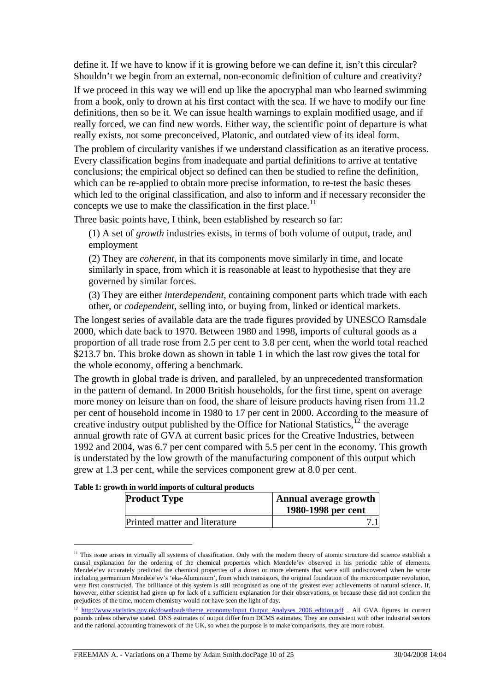define it. If we have to know if it is growing before we can define it, isn't this circular? Shouldn't we begin from an external, non-economic definition of culture and creativity?

If we proceed in this way we will end up like the apocryphal man who learned swimming from a book, only to drown at his first contact with the sea. If we have to modify our fine definitions, then so be it. We can issue health warnings to explain modified usage, and if really forced, we can find new words. Either way, the scientific point of departure is what really exists, not some preconceived, Platonic, and outdated view of its ideal form.

The problem of circularity vanishes if we understand classification as an iterative process. Every classification begins from inadequate and partial definitions to arrive at tentative conclusions; the empirical object so defined can then be studied to refine the definition, which can be re-applied to obtain more precise information, to re-test the basic theses which led to the original classification, and also to inform and if necessary reconsider the concepts we use to make the classification in the first place.<sup>[11](#page-10-0)</sup>

Three basic points have, I think, been established by research so far:

(1) A set of *growth* industries exists, in terms of both volume of output, trade, and employment

(2) They are *coherent*, in that its components move similarly in time, and locate similarly in space, from which it is reasonable at least to hypothesise that they are governed by similar forces.

(3) They are either *interdependent*, containing component parts which trade with each other, or *codependent*, selling into, or buying from, linked or identical markets.

The longest series of available data are the trade figures provided by UNESCO Ramsdale 2000, which date back to 1970. Between 1980 and 1998, imports of cultural goods as a proportion of all trade rose from 2.5 per cent to 3.8 per cent, when the world total reached \$213.7 bn. This broke down as shown in table 1 in which the last row gives the total for the whole economy, offering a benchmark.

The growth in global trade is driven, and paralleled, by an unprecedented transformation in the pattern of demand. In 2000 British households, for the first time, spent on average more money on leisure than on food, the share of leisure products having risen from 11.2 per cent of household income in 1980 to 17 per cent in 2000. According to the measure of creative industry output published by the Office for National Statistics,<sup> $12$ </sup> the average annual growth rate of GVA at current basic prices for the Creative Industries, between 1992 and 2004, was 6.7 per cent compared with 5.5 per cent in the economy. This growth is understated by the low growth of the manufacturing component of this output which grew at 1.3 per cent, while the services component grew at 8.0 per cent.

| <b>Product Type</b>           | Annual average growth<br>1980-1998 per cent |
|-------------------------------|---------------------------------------------|
| Printed matter and literature |                                             |

**Table 1: growth in world imports of cultural products** 

<span id="page-10-0"></span><sup>&</sup>lt;sup>11</sup> This issue arises in virtually all systems of classification. Only with the modern theory of atomic structure did science establish a causal explanation for the ordering of the chemical properties which Mendele'ev observed in his periodic table of elements. Mendele'ev accurately predicted the chemical properties of a dozen or more elements that were still undiscovered when he wrote including germanium Mendele'ev's 'eka-Aluminium', from which transistors, the original foundation of the microcomputer revolution, were first constructed. The brilliance of this system is still recognised as one of the greatest ever achievements of natural science. If, however, either scientist had given up for lack of a sufficient explanation for their observations, or because these did not confirm the prejudices of the time, modern chemistry would not have seen the light of day.

<span id="page-10-1"></span><sup>&</sup>lt;sup>12</sup> [http://www.statistics.gov.uk/downloads/theme\\_economy/Input\\_Output\\_Analyses\\_2006\\_edition.pdf](http://www.statistics.gov.uk/downloads/theme_economy/Input_Output_Analyses_2006_edition.pdf) . All GVA figures in current pounds unless otherwise stated. ONS estimates of output differ from DCMS estimates. They are consistent with other industrial sectors and the national accounting framework of the UK, so when the purpose is to make comparisons, they are more robust.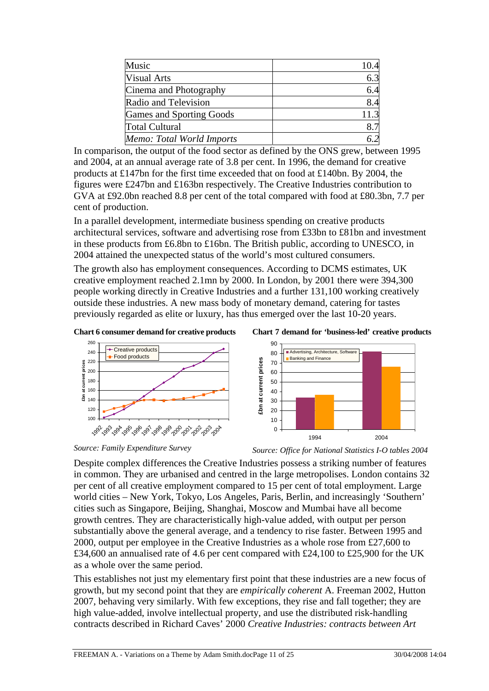| Music                     |      |
|---------------------------|------|
| <b>Visual Arts</b>        |      |
| Cinema and Photography    | 6.4  |
| Radio and Television      | 8.4  |
| Games and Sporting Goods  | 11.3 |
| <b>Total Cultural</b>     |      |
| Memo: Total World Imports |      |

In comparison, the output of the food sector as defined by the ONS grew, between 1995 and 2004, at an annual average rate of 3.8 per cent. In 1996, the demand for creative products at £147bn for the first time exceeded that on food at £140bn. By 2004, the figures were £247bn and £163bn respectively. The Creative Industries contribution to GVA at £92.0bn reached 8.8 per cent of the total compared with food at £80.3bn, 7.7 per cent of production.

In a parallel development, intermediate business spending on creative products architectural services, software and advertising rose from £33bn to £81bn and investment in these products from £6.8bn to £16bn. The British public, according to UNESCO, in 2004 attained the unexpected status of the world's most cultured consumers.

The growth also has employment consequences. According to DCMS estimates, UK creative employment reached 2.1mn by 2000. In London, by 2001 there were 394,300 people working directly in Creative Industries and a further 131,100 working creatively outside these industries. A new mass body of monetary demand, catering for tastes previously regarded as elite or luxury, has thus emerged over the last 10-20 years.

**Chart 6 consumer demand for creative products** 





*Source: Family Expenditure Survey* 

**£bn at current prices**

*Source: Office for National Statistics I-O tables 2004*

Despite complex differences the Creative Industries possess a striking number of features in common. They are urbanised and centred in the large metropolises. London contains 32 per cent of all creative employment compared to 15 per cent of total employment. Large world cities – New York, Tokyo, Los Angeles, Paris, Berlin, and increasingly 'Southern' cities such as Singapore, Beijing, Shanghai, Moscow and Mumbai have all become growth centres. They are characteristically high-value added, with output per person substantially above the general average, and a tendency to rise faster. Between 1995 and 2000, output per employee in the Creative Industries as a whole rose from £27,600 to £34,600 an annualised rate of 4.6 per cent compared with £24,100 to £25,900 for the UK as a whole over the same period.

This establishes not just my elementary first point that these industries are a new focus of growth, but my second point that they are *empirically coherent* A. Freeman 2002, Hutton 2007, behaving very similarly. With few exceptions, they rise and fall together; they are high value-added, involve intellectual property, and use the distributed risk-handling contracts described in Richard Caves' 2000 *Creative Industries: contracts between Art*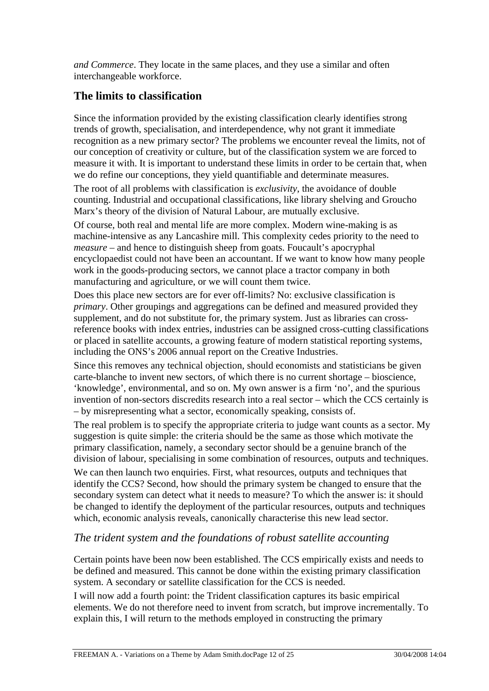*and Commerce*. They locate in the same places, and they use a similar and often interchangeable workforce.

# **The limits to classification**

Since the information provided by the existing classification clearly identifies strong trends of growth, specialisation, and interdependence, why not grant it immediate recognition as a new primary sector? The problems we encounter reveal the limits, not of our conception of creativity or culture, but of the classification system we are forced to measure it with. It is important to understand these limits in order to be certain that, when we do refine our conceptions, they yield quantifiable and determinate measures.

The root of all problems with classification is *exclusivity*, the avoidance of double counting. Industrial and occupational classifications, like library shelving and Groucho Marx's theory of the division of Natural Labour, are mutually exclusive.

Of course, both real and mental life are more complex. Modern wine-making is as machine-intensive as any Lancashire mill. This complexity cedes priority to the need to *measure* – and hence to distinguish sheep from goats. Foucault's apocryphal encyclopaedist could not have been an accountant. If we want to know how many people work in the goods-producing sectors, we cannot place a tractor company in both manufacturing and agriculture, or we will count them twice.

Does this place new sectors are for ever off-limits? No: exclusive classification is *primary*. Other groupings and aggregations can be defined and measured provided they supplement, and do not substitute for, the primary system. Just as libraries can crossreference books with index entries, industries can be assigned cross-cutting classifications or placed in satellite accounts, a growing feature of modern statistical reporting systems, including the ONS's 2006 annual report on the Creative Industries.

Since this removes any technical objection, should economists and statisticians be given carte-blanche to invent new sectors, of which there is no current shortage – bioscience, 'knowledge', environmental, and so on. My own answer is a firm 'no', and the spurious invention of non-sectors discredits research into a real sector – which the CCS certainly is – by misrepresenting what a sector, economically speaking, consists of.

The real problem is to specify the appropriate criteria to judge want counts as a sector. My suggestion is quite simple: the criteria should be the same as those which motivate the primary classification, namely, a secondary sector should be a genuine branch of the division of labour, specialising in some combination of resources, outputs and techniques.

We can then launch two enquiries. First, what resources, outputs and techniques that identify the CCS? Second, how should the primary system be changed to ensure that the secondary system can detect what it needs to measure? To which the answer is: it should be changed to identify the deployment of the particular resources, outputs and techniques which, economic analysis reveals, canonically characterise this new lead sector.

## *The trident system and the foundations of robust satellite accounting*

Certain points have been now been established. The CCS empirically exists and needs to be defined and measured. This cannot be done within the existing primary classification system. A secondary or satellite classification for the CCS is needed.

I will now add a fourth point: the Trident classification captures its basic empirical elements. We do not therefore need to invent from scratch, but improve incrementally. To explain this, I will return to the methods employed in constructing the primary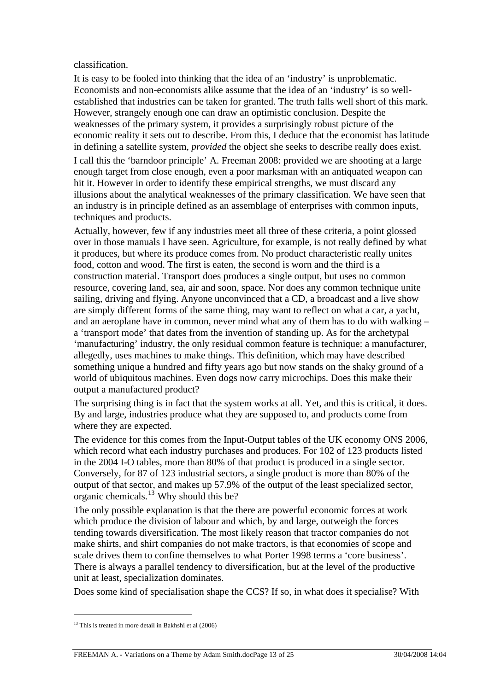#### classification.

It is easy to be fooled into thinking that the idea of an 'industry' is unproblematic. Economists and non-economists alike assume that the idea of an 'industry' is so wellestablished that industries can be taken for granted. The truth falls well short of this mark. However, strangely enough one can draw an optimistic conclusion. Despite the weaknesses of the primary system, it provides a surprisingly robust picture of the economic reality it sets out to describe. From this, I deduce that the economist has latitude in defining a satellite system, *provided* the object she seeks to describe really does exist. I call this the 'barndoor principle' A. Freeman 2008: provided we are shooting at a large enough target from close enough, even a poor marksman with an antiquated weapon can hit it. However in order to identify these empirical strengths, we must discard any illusions about the analytical weaknesses of the primary classification. We have seen that an industry is in principle defined as an assemblage of enterprises with common inputs, techniques and products.

Actually, however, few if any industries meet all three of these criteria, a point glossed over in those manuals I have seen. Agriculture, for example, is not really defined by what it produces, but where its produce comes from. No product characteristic really unites food, cotton and wood. The first is eaten, the second is worn and the third is a construction material. Transport does produces a single output, but uses no common resource, covering land, sea, air and soon, space. Nor does any common technique unite sailing, driving and flying. Anyone unconvinced that a CD, a broadcast and a live show are simply different forms of the same thing, may want to reflect on what a car, a yacht, and an aeroplane have in common, never mind what any of them has to do with walking – a 'transport mode' that dates from the invention of standing up. As for the archetypal 'manufacturing' industry, the only residual common feature is technique: a manufacturer, allegedly, uses machines to make things. This definition, which may have described something unique a hundred and fifty years ago but now stands on the shaky ground of a world of ubiquitous machines. Even dogs now carry microchips. Does this make their output a manufactured product?

The surprising thing is in fact that the system works at all. Yet, and this is critical, it does. By and large, industries produce what they are supposed to, and products come from where they are expected.

The evidence for this comes from the Input-Output tables of the UK economy ONS 2006, which record what each industry purchases and produces. For 102 of 123 products listed in the 2004 I-O tables, more than 80% of that product is produced in a single sector. Conversely, for 87 of 123 industrial sectors, a single product is more than 80% of the output of that sector, and makes up 57.9% of the output of the least specialized sector, organic chemicals.<sup>[13](#page-13-0)</sup> Why should this be?

The only possible explanation is that the there are powerful economic forces at work which produce the division of labour and which, by and large, outweigh the forces tending towards diversification. The most likely reason that tractor companies do not make shirts, and shirt companies do not make tractors, is that economies of scope and scale drives them to confine themselves to what Porter 1998 terms a 'core business'. There is always a parallel tendency to diversification, but at the level of the productive unit at least, specialization dominates.

Does some kind of specialisation shape the CCS? If so, in what does it specialise? With

<span id="page-13-0"></span> $13$  This is treated in more detail in Bakhshi et al  $(2006)$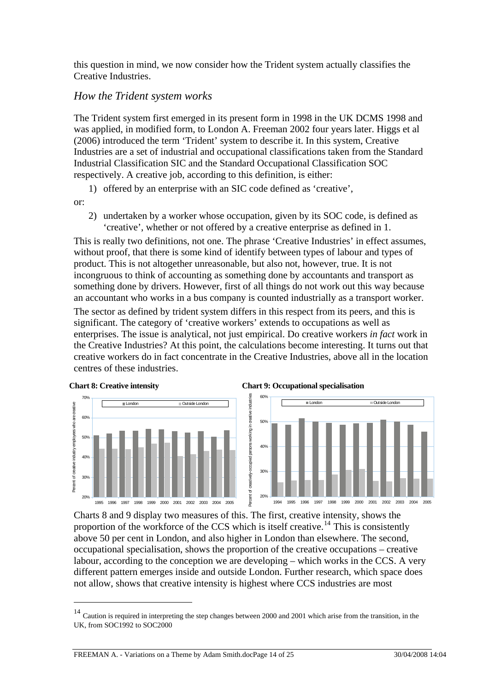this question in mind, we now consider how the Trident system actually classifies the Creative Industries.

### *How the Trident system works*

The Trident system first emerged in its present form in 1998 in the UK DCMS 1998 and was applied, in modified form, to London A. Freeman 2002 four years later. Higgs et al (2006) introduced the term 'Trident' system to describe it. In this system, Creative Industries are a set of industrial and occupational classifications taken from the Standard Industrial Classification SIC and the Standard Occupational Classification SOC respectively. A creative job, according to this definition, is either:

1) offered by an enterprise with an SIC code defined as 'creative',

or:

 $\overline{a}$ 

2) undertaken by a worker whose occupation, given by its SOC code, is defined as 'creative', whether or not offered by a creative enterprise as defined in 1.

This is really two definitions, not one. The phrase 'Creative Industries' in effect assumes, without proof, that there is some kind of identify between types of labour and types of product. This is not altogether unreasonable, but also not, however, true. It is not incongruous to think of accounting as something done by accountants and transport as something done by drivers. However, first of all things do not work out this way because an accountant who works in a bus company is counted industrially as a transport worker.

The sector as defined by trident system differs in this respect from its peers, and this is significant. The category of 'creative workers' extends to occupations as well as enterprises. The issue is analytical, not just empirical. Do creative workers *in fact* work in the Creative Industries? At this point, the calculations become interesting. It turns out that creative workers do in fact concentrate in the Creative Industries, above all in the location centres of these industries.



Charts 8 and 9 display two measures of this. The first, creative intensity, shows the proportion of the workforce of the CCS which is itself creative.<sup>[14](#page-14-0)</sup> This is consistently above 50 per cent in London, and also higher in London than elsewhere. The second, occupational specialisation, shows the proportion of the creative occupations – creative labour, according to the conception we are developing – which works in the CCS. A very different pattern emerges inside and outside London. Further research, which space does not allow, shows that creative intensity is highest where CCS industries are most

<span id="page-14-0"></span><sup>&</sup>lt;sup>14</sup> Caution is required in interpreting the step changes between 2000 and 2001 which arise from the transition, in the UK, from SOC1992 to SOC2000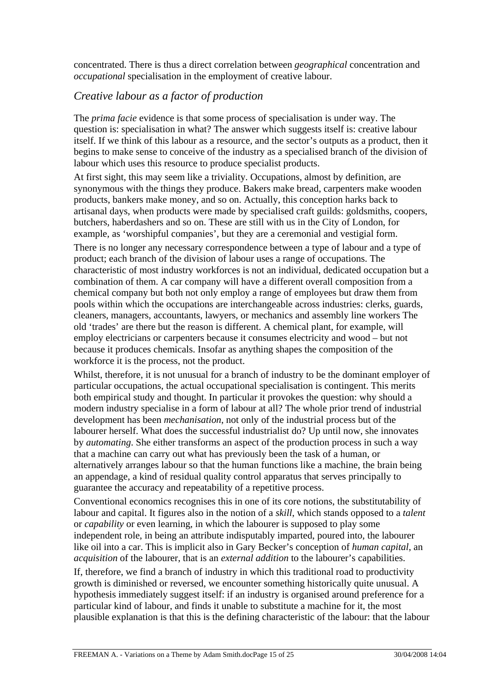concentrated. There is thus a direct correlation between *geographical* concentration and *occupational* specialisation in the employment of creative labour.

## *Creative labour as a factor of production*

The *prima facie* evidence is that some process of specialisation is under way. The question is: specialisation in what? The answer which suggests itself is: creative labour itself. If we think of this labour as a resource, and the sector's outputs as a product, then it begins to make sense to conceive of the industry as a specialised branch of the division of labour which uses this resource to produce specialist products.

At first sight, this may seem like a triviality. Occupations, almost by definition, are synonymous with the things they produce. Bakers make bread, carpenters make wooden products, bankers make money, and so on. Actually, this conception harks back to artisanal days, when products were made by specialised craft guilds: goldsmiths, coopers, butchers, haberdashers and so on. These are still with us in the City of London, for example, as 'worshipful companies', but they are a ceremonial and vestigial form.

There is no longer any necessary correspondence between a type of labour and a type of product; each branch of the division of labour uses a range of occupations. The characteristic of most industry workforces is not an individual, dedicated occupation but a combination of them. A car company will have a different overall composition from a chemical company but both not only employ a range of employees but draw them from pools within which the occupations are interchangeable across industries: clerks, guards, cleaners, managers, accountants, lawyers, or mechanics and assembly line workers The old 'trades' are there but the reason is different. A chemical plant, for example, will employ electricians or carpenters because it consumes electricity and wood – but not because it produces chemicals. Insofar as anything shapes the composition of the workforce it is the process, not the product.

Whilst, therefore, it is not unusual for a branch of industry to be the dominant employer of particular occupations, the actual occupational specialisation is contingent. This merits both empirical study and thought. In particular it provokes the question: why should a modern industry specialise in a form of labour at all? The whole prior trend of industrial development has been *mechanisation*, not only of the industrial process but of the labourer herself. What does the successful industrialist do? Up until now, she innovates by *automating*. She either transforms an aspect of the production process in such a way that a machine can carry out what has previously been the task of a human, or alternatively arranges labour so that the human functions like a machine, the brain being an appendage, a kind of residual quality control apparatus that serves principally to guarantee the accuracy and repeatability of a repetitive process.

Conventional economics recognises this in one of its core notions, the substitutability of labour and capital. It figures also in the notion of a *skill*, which stands opposed to a *talent* or *capability* or even learning, in which the labourer is supposed to play some independent role, in being an attribute indisputably imparted, poured into, the labourer like oil into a car. This is implicit also in Gary Becker's conception of *human capital*, an *acquisition* of the labourer, that is an *external addition* to the labourer's capabilities.

If, therefore, we find a branch of industry in which this traditional road to productivity growth is diminished or reversed, we encounter something historically quite unusual. A hypothesis immediately suggest itself: if an industry is organised around preference for a particular kind of labour, and finds it unable to substitute a machine for it, the most plausible explanation is that this is the defining characteristic of the labour: that the labour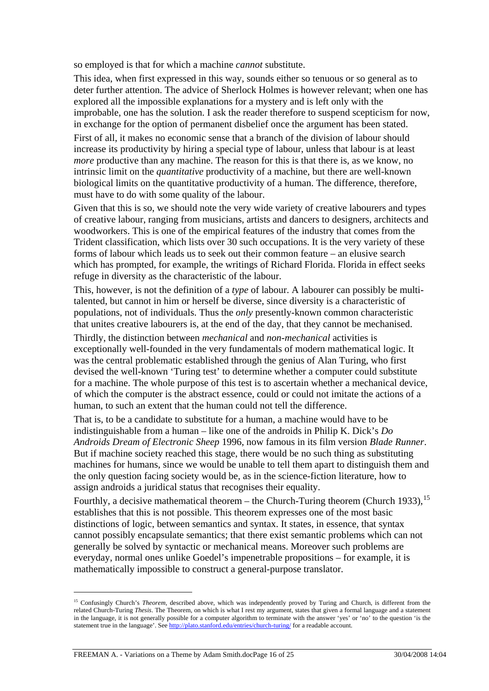so employed is that for which a machine *cannot* substitute.

This idea, when first expressed in this way, sounds either so tenuous or so general as to deter further attention. The advice of Sherlock Holmes is however relevant; when one has explored all the impossible explanations for a mystery and is left only with the improbable, one has the solution. I ask the reader therefore to suspend scepticism for now, in exchange for the option of permanent disbelief once the argument has been stated.

First of all, it makes no economic sense that a branch of the division of labour should increase its productivity by hiring a special type of labour, unless that labour is at least *more* productive than any machine. The reason for this is that there is, as we know, no intrinsic limit on the *quantitative* productivity of a machine, but there are well-known biological limits on the quantitative productivity of a human. The difference, therefore, must have to do with some quality of the labour.

Given that this is so, we should note the very wide variety of creative labourers and types of creative labour, ranging from musicians, artists and dancers to designers, architects and woodworkers. This is one of the empirical features of the industry that comes from the Trident classification, which lists over 30 such occupations. It is the very variety of these forms of labour which leads us to seek out their common feature – an elusive search which has prompted, for example, the writings of Richard Florida. Florida in effect seeks refuge in diversity as the characteristic of the labour.

This, however, is not the definition of a *type* of labour. A labourer can possibly be multitalented, but cannot in him or herself be diverse, since diversity is a characteristic of populations, not of individuals. Thus the *only* presently-known common characteristic that unites creative labourers is, at the end of the day, that they cannot be mechanised.

Thirdly, the distinction between *mechanical* and *non-mechanical* activities is exceptionally well-founded in the very fundamentals of modern mathematical logic. It was the central problematic established through the genius of Alan Turing, who first devised the well-known 'Turing test' to determine whether a computer could substitute for a machine. The whole purpose of this test is to ascertain whether a mechanical device, of which the computer is the abstract essence, could or could not imitate the actions of a human, to such an extent that the human could not tell the difference.

That is, to be a candidate to substitute for a human, a machine would have to be indistinguishable from a human – like one of the androids in Philip K. Dick's *Do Androids Dream of Electronic Sheep* 1996, now famous in its film version *Blade Runner*. But if machine society reached this stage, there would be no such thing as substituting machines for humans, since we would be unable to tell them apart to distinguish them and the only question facing society would be, as in the science-fiction literature, how to assign androids a juridical status that recognises their equality.

Fourthly, a decisive mathematical theorem – the Church-Turing theorem (Church 1933),  $15$ establishes that this is not possible. This theorem expresses one of the most basic distinctions of logic, between semantics and syntax. It states, in essence, that syntax cannot possibly encapsulate semantics; that there exist semantic problems which can not generally be solved by syntactic or mechanical means. Moreover such problems are everyday, normal ones unlike Goedel's impenetrable propositions – for example, it is mathematically impossible to construct a general-purpose translator.

<span id="page-16-0"></span><sup>&</sup>lt;sup>15</sup> Confusingly Church's *Theorem*, described above, which was independently proved by Turing and Church, is different from the related Church-Turing *Thesis*. The Theorem, on which is what I rest my argument, states that given a formal language and a statement in the language, it is not generally possible for a computer algorithm to terminate with the answer 'yes' or 'no' to the question 'is the statement true in the language'. See<http://plato.stanford.edu/entries/church-turing/>for a readable account.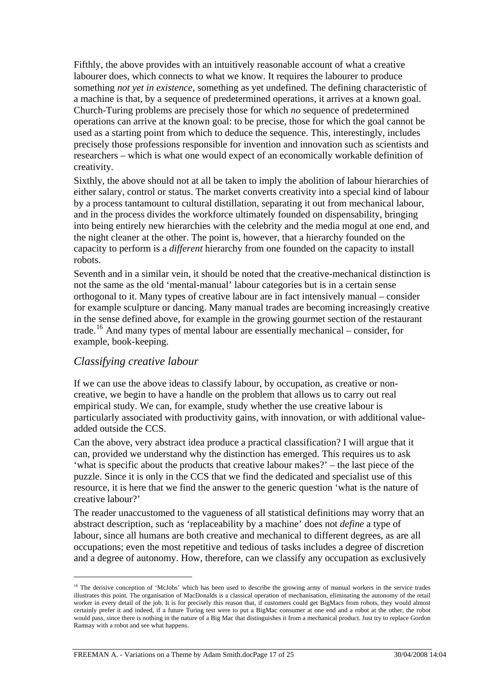Fifthly, the above provides with an intuitively reasonable account of what a creative labourer does, which connects to what we know. It requires the labourer to produce something *not yet in existence*, something as yet undefined. The defining characteristic of a machine is that, by a sequence of predetermined operations, it arrives at a known goal. Church-Turing problems are precisely those for which *no* sequence of predetermined operations can arrive at the known goal: to be precise, those for which the goal cannot be used as a starting point from which to deduce the sequence. This, interestingly, includes precisely those professions responsible for invention and innovation such as scientists and researchers – which is what one would expect of an economically workable definition of creativity.

Sixthly, the above should not at all be taken to imply the abolition of labour hierarchies of either salary, control or status. The market converts creativity into a special kind of labour by a process tantamount to cultural distillation, separating it out from mechanical labour, and in the process divides the workforce ultimately founded on dispensability, bringing into being entirely new hierarchies with the celebrity and the media mogul at one end, and the night cleaner at the other. The point is, however, that a hierarchy founded on the capacity to perform is a *different* hierarchy from one founded on the capacity to install robots.

Seventh and in a similar vein, it should be noted that the creative-mechanical distinction is not the same as the old 'mental-manual' labour categories but is in a certain sense orthogonal to it. Many types of creative labour are in fact intensively manual – consider for example sculpture or dancing. Many manual trades are becoming increasingly creative in the sense defined above, for example in the growing gourmet section of the restaurant trade.[16](#page-17-0) And many types of mental labour are essentially mechanical – consider, for example, book-keeping.

#### *Classifying creative labour*

 $\overline{a}$ 

If we can use the above ideas to classify labour, by occupation, as creative or noncreative, we begin to have a handle on the problem that allows us to carry out real empirical study. We can, for example, study whether the use creative labour is particularly associated with productivity gains, with innovation, or with additional valueadded outside the CCS.

Can the above, very abstract idea produce a practical classification? I will argue that it can, provided we understand why the distinction has emerged. This requires us to ask 'what is specific about the products that creative labour makes?' – the last piece of the puzzle. Since it is only in the CCS that we find the dedicated and specialist use of this resource, it is here that we find the answer to the generic question 'what is the nature of creative labour?'

The reader unaccustomed to the vagueness of all statistical definitions may worry that an abstract description, such as 'replaceability by a machine' does not *define* a type of labour, since all humans are both creative and mechanical to different degrees, as are all occupations; even the most repetitive and tedious of tasks includes a degree of discretion and a degree of autonomy. How, therefore, can we classify any occupation as exclusively

<span id="page-17-0"></span><sup>&</sup>lt;sup>16</sup> The derisive conception of 'McJobs' which has been used to describe the growing army of manual workers in the service trades illustrates this point. The organisation of MacDonalds is a classical operation of mechanisation, eliminating the autonomy of the retail worker in every detail of the job. It is for precisely this reason that, if customers could get BigMacs from robots, they would almost certainly prefer it and indeed, if a future Turing test were to put a BigMac consumer at one end and a robot at the other, the robot would pass, since there is nothing in the nature of a Big Mac that distinguishes it from a mechanical product. Just try to replace Gordon Ramsay with a robot and see what happens.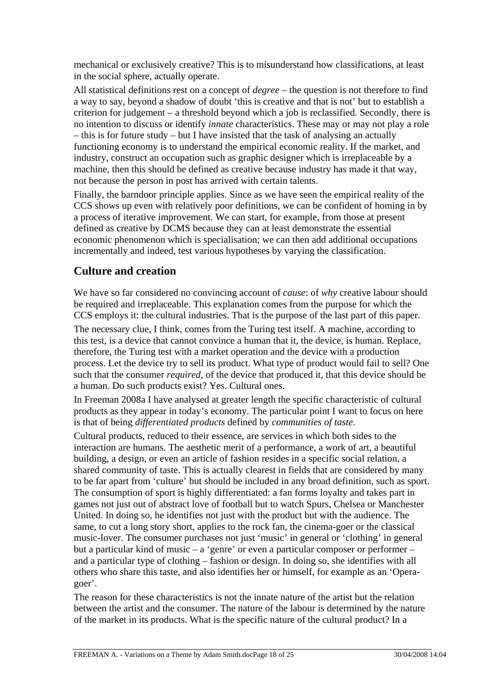mechanical or exclusively creative? This is to misunderstand how classifications, at least in the social sphere, actually operate.

All statistical definitions rest on a concept of *degree* – the question is not therefore to find a way to say, beyond a shadow of doubt 'this is creative and that is not' but to establish a criterion for judgement – a threshold beyond which a job is reclassified. Secondly, there is no intention to discuss or identify *innate* characteristics. These may or may not play a role – this is for future study – but I have insisted that the task of analysing an actually functioning economy is to understand the empirical economic reality. If the market, and industry, construct an occupation such as graphic designer which is irreplaceable by a machine, then this should be defined as creative because industry has made it that way, not because the person in post has arrived with certain talents.

Finally, the barndoor principle applies. Since as we have seen the empirical reality of the CCS shows up even with relatively poor definitions, we can be confident of homing in by a process of iterative improvement. We can start, for example, from those at present defined as creative by DCMS because they can at least demonstrate the essential economic phenomenon which is specialisation; we can then add additional occupations incrementally and indeed, test various hypotheses by varying the classification.

# **Culture and creation**

We have so far considered no convincing account of *cause*: of *why* creative labour should be required and irreplaceable. This explanation comes from the purpose for which the CCS employs it: the cultural industries. That is the purpose of the last part of this paper. The necessary clue, I think, comes from the Turing test itself. A machine, according to this test, is a device that cannot convince a human that it, the device, is human. Replace, therefore, the Turing test with a market operation and the device with a production process. Let the device try to sell its product. What type of product would fail to sell? One such that the consumer *required*, of the device that produced it, that this device should be a human. Do such products exist? Yes. Cultural ones.

In Freeman 2008a I have analysed at greater length the specific characteristic of cultural products as they appear in today's economy. The particular point I want to focus on here is that of being *differentiated products* defined by *communities of taste*.

Cultural products, reduced to their essence, are services in which both sides to the interaction are humans. The aesthetic merit of a performance, a work of art, a beautiful building, a design, or even an article of fashion resides in a specific social relation, a shared community of taste. This is actually clearest in fields that are considered by many to be far apart from 'culture' but should be included in any broad definition, such as sport. The consumption of sport is highly differentiated: a fan forms loyalty and takes part in games not just out of abstract love of football but to watch Spurs, Chelsea or Manchester United. In doing so, he identifies not just with the product but with the audience. The same, to cut a long story short, applies to the rock fan, the cinema-goer or the classical music-lover. The consumer purchases not just 'music' in general or 'clothing' in general but a particular kind of music – a 'genre' or even a particular composer or performer – and a particular type of clothing – fashion or design. In doing so, she identifies with all others who share this taste, and also identifies her or himself, for example as an 'Operagoer'.

The reason for these characteristics is not the innate nature of the artist but the relation between the artist and the consumer. The nature of the labour is determined by the nature of the market in its products. What is the specific nature of the cultural product? In a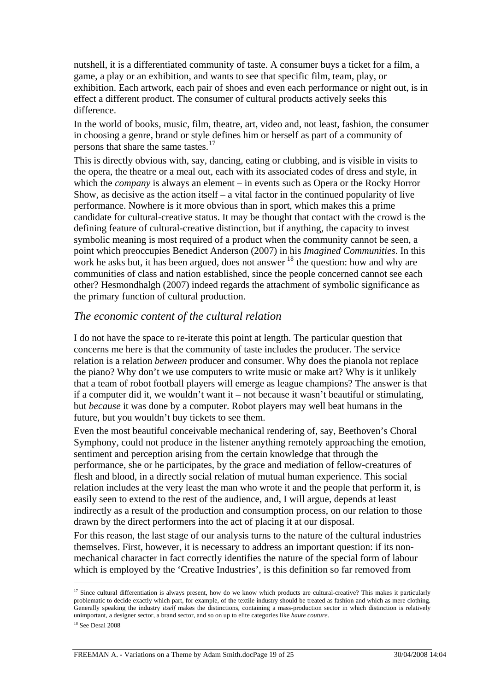nutshell, it is a differentiated community of taste. A consumer buys a ticket for a film, a game, a play or an exhibition, and wants to see that specific film, team, play, or exhibition. Each artwork, each pair of shoes and even each performance or night out, is in effect a different product. The consumer of cultural products actively seeks this difference.

In the world of books, music, film, theatre, art, video and, not least, fashion, the consumer in choosing a genre, brand or style defines him or herself as part of a community of persons that share the same tastes.<sup>[17](#page-19-0)</sup>

This is directly obvious with, say, dancing, eating or clubbing, and is visible in visits to the opera, the theatre or a meal out, each with its associated codes of dress and style, in which the *company* is always an element – in events such as Opera or the Rocky Horror Show, as decisive as the action itself – a vital factor in the continued popularity of live performance. Nowhere is it more obvious than in sport, which makes this a prime candidate for cultural-creative status. It may be thought that contact with the crowd is the defining feature of cultural-creative distinction, but if anything, the capacity to invest symbolic meaning is most required of a product when the community cannot be seen, a point which preoccupies Benedict Anderson (2007) in his *Imagined Communities*. In this work he asks but, it has been argued, does not answer  $18$  the question: how and why are communities of class and nation established, since the people concerned cannot see each other? Hesmondhalgh (2007) indeed regards the attachment of symbolic significance as the primary function of cultural production.

#### *The economic content of the cultural relation*

I do not have the space to re-iterate this point at length. The particular question that concerns me here is that the community of taste includes the producer. The service relation is a relation *between* producer and consumer. Why does the pianola not replace the piano? Why don't we use computers to write music or make art? Why is it unlikely that a team of robot football players will emerge as league champions? The answer is that if a computer did it, we wouldn't want it – not because it wasn't beautiful or stimulating, but *because* it was done by a computer. Robot players may well beat humans in the future, but you wouldn't buy tickets to see them.

Even the most beautiful conceivable mechanical rendering of, say, Beethoven's Choral Symphony, could not produce in the listener anything remotely approaching the emotion, sentiment and perception arising from the certain knowledge that through the performance, she or he participates, by the grace and mediation of fellow-creatures of flesh and blood, in a directly social relation of mutual human experience. This social relation includes at the very least the man who wrote it and the people that perform it, is easily seen to extend to the rest of the audience, and, I will argue, depends at least indirectly as a result of the production and consumption process, on our relation to those drawn by the direct performers into the act of placing it at our disposal.

For this reason, the last stage of our analysis turns to the nature of the cultural industries themselves. First, however, it is necessary to address an important question: if its nonmechanical character in fact correctly identifies the nature of the special form of labour which is employed by the 'Creative Industries', is this definition so far removed from

<span id="page-19-0"></span><sup>&</sup>lt;sup>17</sup> Since cultural differentiation is always present, how do we know which products are cultural-creative? This makes it particularly problematic to decide exactly which part, for example, of the textile industry should be treated as fashion and which as mere clothing. Generally speaking the industry *itself* makes the distinctions, containing a mass-production sector in which distinction is relatively unimportant, a designer sector, a brand sector, and so on up to elite categories like *haute couture*.

<span id="page-19-1"></span><sup>&</sup>lt;sup>18</sup> See Desai 2008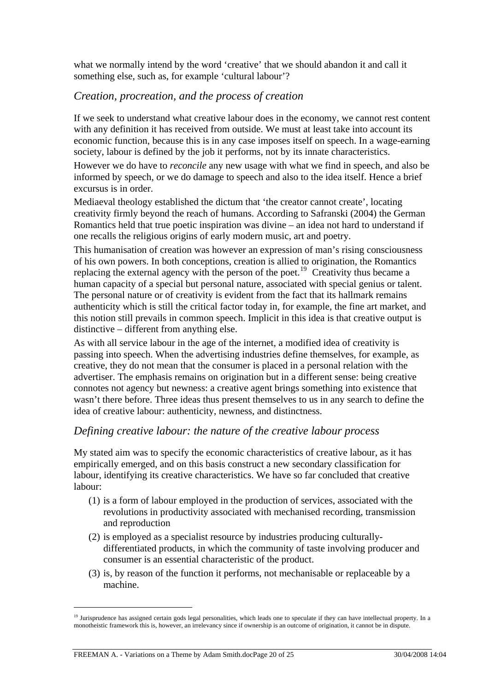what we normally intend by the word 'creative' that we should abandon it and call it something else, such as, for example 'cultural labour'?

#### *Creation, procreation, and the process of creation*

If we seek to understand what creative labour does in the economy, we cannot rest content with any definition it has received from outside. We must at least take into account its economic function, because this is in any case imposes itself on speech. In a wage-earning society, labour is defined by the job it performs, not by its innate characteristics.

However we do have to *reconcile* any new usage with what we find in speech, and also be informed by speech, or we do damage to speech and also to the idea itself. Hence a brief excursus is in order.

Mediaeval theology established the dictum that 'the creator cannot create', locating creativity firmly beyond the reach of humans. According to Safranski (2004) the German Romantics held that true poetic inspiration was divine – an idea not hard to understand if one recalls the religious origins of early modern music, art and poetry.

This humanisation of creation was however an expression of man's rising consciousness of his own powers. In both conceptions, creation is allied to origination, the Romantics replacing the external agency with the person of the poet.<sup>[19](#page-20-0)</sup> Creativity thus became a human capacity of a special but personal nature, associated with special genius or talent. The personal nature or of creativity is evident from the fact that its hallmark remains authenticity which is still the critical factor today in, for example, the fine art market, and this notion still prevails in common speech. Implicit in this idea is that creative output is distinctive – different from anything else.

As with all service labour in the age of the internet, a modified idea of creativity is passing into speech. When the advertising industries define themselves, for example, as creative, they do not mean that the consumer is placed in a personal relation with the advertiser. The emphasis remains on origination but in a different sense: being creative connotes not agency but newness: a creative agent brings something into existence that wasn't there before. Three ideas thus present themselves to us in any search to define the idea of creative labour: authenticity, newness, and distinctness.

#### *Defining creative labour: the nature of the creative labour process*

My stated aim was to specify the economic characteristics of creative labour, as it has empirically emerged, and on this basis construct a new secondary classification for labour, identifying its creative characteristics. We have so far concluded that creative labour:

- (1) is a form of labour employed in the production of services, associated with the revolutions in productivity associated with mechanised recording, transmission and reproduction
- (2) is employed as a specialist resource by industries producing culturallydifferentiated products, in which the community of taste involving producer and consumer is an essential characteristic of the product.
- (3) is, by reason of the function it performs, not mechanisable or replaceable by a machine.

<span id="page-20-0"></span><sup>&</sup>lt;sup>19</sup> Jurisprudence has assigned certain gods legal personalities, which leads one to speculate if they can have intellectual property. In a monotheistic framework this is, however, an irrelevancy since if ownership is an outcome of origination, it cannot be in dispute.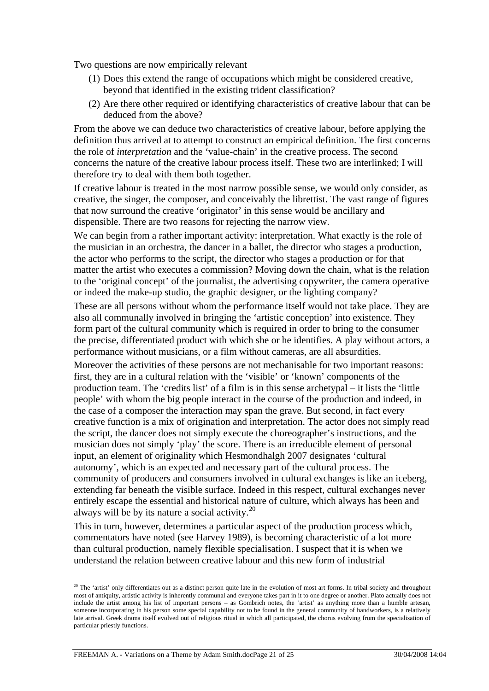Two questions are now empirically relevant

- (1) Does this extend the range of occupations which might be considered creative, beyond that identified in the existing trident classification?
- (2) Are there other required or identifying characteristics of creative labour that can be deduced from the above?

From the above we can deduce two characteristics of creative labour, before applying the definition thus arrived at to attempt to construct an empirical definition. The first concerns the role of *interpretation* and the 'value-chain' in the creative process. The second concerns the nature of the creative labour process itself. These two are interlinked; I will therefore try to deal with them both together.

If creative labour is treated in the most narrow possible sense, we would only consider, as creative, the singer, the composer, and conceivably the librettist. The vast range of figures that now surround the creative 'originator' in this sense would be ancillary and dispensible. There are two reasons for rejecting the narrow view.

We can begin from a rather important activity: interpretation. What exactly is the role of the musician in an orchestra, the dancer in a ballet, the director who stages a production, the actor who performs to the script, the director who stages a production or for that matter the artist who executes a commission? Moving down the chain, what is the relation to the 'original concept' of the journalist, the advertising copywriter, the camera operative or indeed the make-up studio, the graphic designer, or the lighting company?

These are all persons without whom the performance itself would not take place. They are also all communally involved in bringing the 'artistic conception' into existence. They form part of the cultural community which is required in order to bring to the consumer the precise, differentiated product with which she or he identifies. A play without actors, a performance without musicians, or a film without cameras, are all absurdities.

Moreover the activities of these persons are not mechanisable for two important reasons: first, they are in a cultural relation with the 'visible' or 'known' components of the production team. The 'credits list' of a film is in this sense archetypal – it lists the 'little people' with whom the big people interact in the course of the production and indeed, in the case of a composer the interaction may span the grave. But second, in fact every creative function is a mix of origination and interpretation. The actor does not simply read the script, the dancer does not simply execute the choreographer's instructions, and the musician does not simply 'play' the score. There is an irreducible element of personal input, an element of originality which Hesmondhalgh 2007 designates 'cultural autonomy', which is an expected and necessary part of the cultural process. The community of producers and consumers involved in cultural exchanges is like an iceberg, extending far beneath the visible surface. Indeed in this respect, cultural exchanges never entirely escape the essential and historical nature of culture, which always has been and always will be by its nature a social activity.[20](#page-21-0)

This in turn, however, determines a particular aspect of the production process which, commentators have noted (see Harvey 1989), is becoming characteristic of a lot more than cultural production, namely flexible specialisation. I suspect that it is when we understand the relation between creative labour and this new form of industrial

<span id="page-21-0"></span> $20$  The 'artist' only differentiates out as a distinct person quite late in the evolution of most art forms. In tribal society and throughout most of antiquity, artistic activity is inherently communal and everyone takes part in it to one degree or another. Plato actually does not include the artist among his list of important persons – as Gombrich notes, the 'artist' as anything more than a humble artesan, someone incorporating in his person some special capability not to be found in the general community of handworkers, is a relatively late arrival. Greek drama itself evolved out of religious ritual in which all participated, the chorus evolving from the specialisation of particular priestly functions.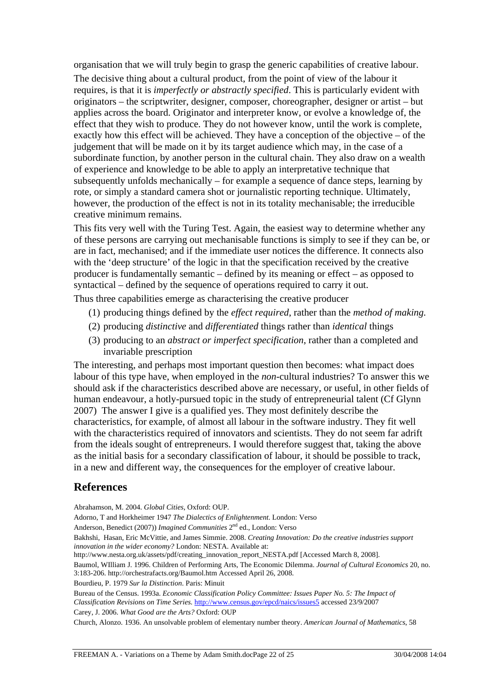organisation that we will truly begin to grasp the generic capabilities of creative labour.

The decisive thing about a cultural product, from the point of view of the labour it requires, is that it is *imperfectly or abstractly specified*. This is particularly evident with originators – the scriptwriter, designer, composer, choreographer, designer or artist – but applies across the board. Originator and interpreter know, or evolve a knowledge of, the effect that they wish to produce. They do not however know, until the work is complete, exactly how this effect will be achieved. They have a conception of the objective – of the judgement that will be made on it by its target audience which may, in the case of a subordinate function, by another person in the cultural chain. They also draw on a wealth of experience and knowledge to be able to apply an interpretative technique that subsequently unfolds mechanically – for example a sequence of dance steps, learning by rote, or simply a standard camera shot or journalistic reporting technique. Ultimately, however, the production of the effect is not in its totality mechanisable; the irreducible creative minimum remains.

This fits very well with the Turing Test. Again, the easiest way to determine whether any of these persons are carrying out mechanisable functions is simply to see if they can be, or are in fact, mechanised; and if the immediate user notices the difference. It connects also with the 'deep structure' of the logic in that the specification received by the creative producer is fundamentally semantic – defined by its meaning or effect – as opposed to syntactical – defined by the sequence of operations required to carry it out.

Thus three capabilities emerge as characterising the creative producer

- (1) producing things defined by the *effect required*, rather than the *method of making.*
- (2) producing *distinctive* and *differentiated* things rather than *identical* things
- (3) producing to an *abstract or imperfect specification*, rather than a completed and invariable prescription

The interesting, and perhaps most important question then becomes: what impact does labour of this type have, when employed in the *non*-cultural industries? To answer this we should ask if the characteristics described above are necessary, or useful, in other fields of human endeavour, a hotly-pursued topic in the study of entrepreneurial talent (Cf Glynn 2007) The answer I give is a qualified yes. They most definitely describe the characteristics, for example, of almost all labour in the software industry. They fit well with the characteristics required of innovators and scientists. They do not seem far adrift from the ideals sought of entrepreneurs. I would therefore suggest that, taking the above as the initial basis for a secondary classification of labour, it should be possible to track, in a new and different way, the consequences for the employer of creative labour.

#### **References**

Abrahamson, M. 2004. *Global Cities*, Oxford: OUP. Adorno, T and Horkheimer 1947 *The Dialectics of Enlightenment*. London: Verso Anderson, Benedict (2007)) *Imagined Communities* 2<sup>nd</sup> ed., London: Verso Bakhshi, Hasan, Eric McVittie, and James Simmie. 2008. *Creating Innovation: Do the creative industries support innovation in the wider economy?* London: NESTA. Available at: http://www.nesta.org.uk/assets/pdf/creating\_innovation\_report\_NESTA.pdf [Accessed March 8, 2008]. Baumol, WIlliam J. 1996. Children of Performing Arts, The Economic Dilemma. *Journal of Cultural Economics* 20, no. 3:183-206. http://orchestrafacts.org/Baumol.htm Accessed April 26, 2008. Bourdieu, P. 1979 *Sur la Distinction*. Paris: Minuit Bureau of the Census. 1993a. *Economic Classification Policy Committee: Issues Paper No. 5: The Impact of Classification Revisions on Time Series.* <http://www.census.gov/epcd/naics/issues5>accessed 23/9/2007 Carey, J. 2006. *What Good are the Arts?* Oxford: OUP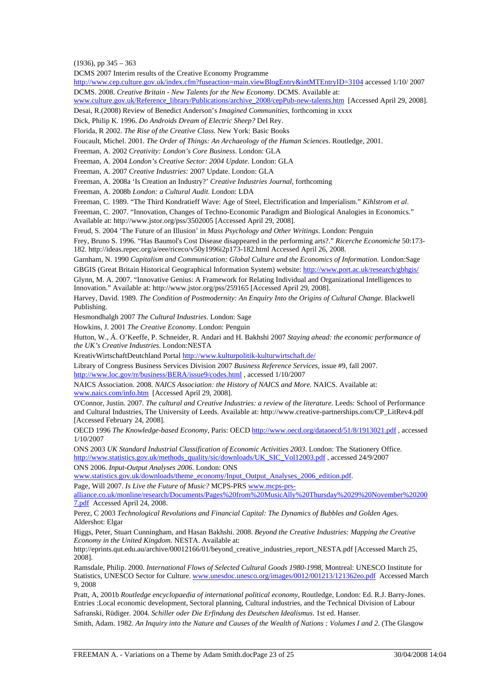$(1936)$ , pp  $345 - 363$ 

DCMS 2007 Interim results of the Creative Economy Programme

<http://www.cep.culture.gov.uk/index.cfm?fuseaction=main.viewBlogEntry&intMTEntryID=3104> accessed 1/10/ 2007 DCMS. 2008. *Creative Britain - New Talents for the New Economy*. DCMS. Available at:

[www.culture.gov.uk/Reference\\_library/Publications/archive\\_2008/cepPub-new-talents.htm](http://www.culture.gov.uk/Reference_library/Publications/archive_2008/cepPub-new-talents.htm) [Accessed April 29, 2008]. Desai, R.(2008) Review of Benedict Anderson's *Imagined Communities*, forthcoming in xxxx

Dick, Philip K. 1996. *Do Androids Dream of Electric Sheep?* Del Rey.

Florida, R 2002. *The Rise of the Creative Class*. New York: Basic Books

Foucault, Michel. 2001. *The Order of Things: An Archaeology of the Human Sciences*. Routledge, 2001.

Freeman, A. 2002 *Creativity: London's Core Business*. London: GLA

Freeman, A. 2004 *London's Creative Sector: 2004 Update*. London: GLA

Freeman, A. 2007 *Creative Industries:* 2007 Update. London: GLA

Freeman, A. 2008a 'Is Creation an Industry?' *Creative Industries Journal*, forthcoming

Freeman, A. 2008b *London: a Cultural Audit*. London: LDA

Freeman, C. 1989. "The Third Kondratieff Wave: Age of Steel, Electrification and Imperialism." *Kihlstrom et al*.

Freeman, C. 2007. "Innovation, Changes of Techno-Economic Paradigm and Biological Analogies in Economics." Available at: http://www.jstor.org/pss/3502005 [Accessed April 29, 2008].

Freud, S. 2004 'The Future of an Illusion' in *Mass Psychology and Other Writings*. London: Penguin

Frey, Bruno S. 1996. "Has Baumol's Cost Disease disappeared in the performing arts?." *Ricerche Economiche* 50:173- 182. http://ideas.repec.org/a/eee/riceco/v50y1996i2p173-182.html Accessed April 26, 2008.

Garnham, N. 1990 *Capitalism and Communication: Global Culture and the Economics of Information.* London:Sage GBGIS (Great Britain Historical Geographical Information System) website:<http://www.port.ac.uk/research/gbhgis/>

Glynn, M. A. 2007. "Innovative Genius: A Framework for Relating Individual and Organizational Intelligences to Innovation." Available at: http://www.jstor.org/pss/259165 [Accessed April 29, 2008].

Harvey, David. 1989. *The Condition of Postmodernity: An Enquiry Into the Origins of Cultural Change*. Blackwell Publishing.

Hesmondhalgh 2007 *The Cultural Industries*. London: Sage

Howkins, J. 2001 *The Creative Economy*. London: Penguin

Hutton, W., Á. O'Keeffe, P. Schneider, R. Andari and H. Bakhshi 2007 *Staying ahead: the economic performance of the UK's Creative Industries*. London:NESTA

KreativWirtschaftDeutchland Portal<http://www.kulturpolitik-kulturwirtschaft.de/>

Library of Congress Business Services Division 2007 *Business Reference Services,* issue #9, fall 2007.

<http://www.loc.gov/rr/business/BERA/issue9/codes.html>, accessed 1/10/2007

NAICS Association. 2008. *NAICS Association: the History of NAICS and More*. NAICS. Available at: [www.naics.com/info.htm](http://www.naics.com/info.htm) [Accessed April 29, 2008].

O'Connor, Justin. 2007. *The cultural and Creative Industries: a review of the literature*. Leeds: School of Performance and Cultural Industries, The University of Leeds. Available at: http://www.creative-partnerships.com/CP\_LitRev4.pdf [Accessed February 24, 2008].

OECD 1996 *The Knowledge-based Economy*, Paris: OECD <http://www.oecd.org/dataoecd/51/8/1913021.pdf>, accessed 1/10/2007

ONS 2003 *UK Standard Industrial Classification of Economic Activities 2003*. London: The Stationery Office. [http://www.statistics.gov.uk/methods\\_quality/sic/downloads/UK\\_SIC\\_Vol12003.pdf](http://www.statistics.gov.uk/methods_quality/sic/downloads/UK_SIC_Vol1(2003).pdf) , accessed 24/9/2007

ONS 2006. *Input-Output Analyses 2006*. London: ONS

[www.statistics.gov.uk/downloads/theme\\_economy/Input\\_Output\\_Analyses\\_2006\\_edition.pdf.](http://www.statistics.gov.uk/downloads/theme_economy/Input_Output_Analyses_2006_edition.pdf) Page, Will 2007. *Is Live the Future of Music?* MCPS-PRS [www.mcps-prs-](http://www.mcps-prs-alliance.co.uk/monline/research/Documents/Pages%20from%20MusicAlly%20Thursday%2029%20November%202007.pdf)

[alliance.co.uk/monline/research/Documents/Pages%20from%20MusicAlly%20Thursday%2029%20November%20200](http://www.mcps-prs-alliance.co.uk/monline/research/Documents/Pages%20from%20MusicAlly%20Thursday%2029%20November%202007.pdf) [7.pdf](http://www.mcps-prs-alliance.co.uk/monline/research/Documents/Pages%20from%20MusicAlly%20Thursday%2029%20November%202007.pdf) Accessed April 24, 2008.

Perez, C 2003 *Technological Revolutions and Financial Capital: The Dynamics of Bubbles and Golden Ages.*  Aldershot: Elgar

Higgs, Peter, Stuart Cunningham, and Hasan Bakhshi. 2008. *Beyond the Creative Industries: Mapping the Creative Economy in the United Kingdom*. NESTA. Available at:

http://eprints.qut.edu.au/archive/00012166/01/beyond\_creative\_industries\_report\_NESTA.pdf [Accessed March 25, 2008].

Ramsdale, Philip. 2000. *International Flows of Selected Cultural Goods 1980-1998*, Montreal: UNESCO Institute for Statistics, UNESCO Sector for Culture. [www.unesdoc.unesco.org/images/0012/001213/121362eo.pdf](http://www.unesdoc.unesco.org/images/0012/001213/121362eo.pdf) Accessed March 9, 2008

Pratt, A, 2001b *Routledge encyclopaedia of international political economy*, Routledge, London: Ed. R.J. Barry-Jones. Entries :Local economic development, Sectoral planning, Cultural industries, and the Technical Division of Labour Safranski, Rüdiger. 2004. *Schiller oder Die Erfindung des Deutschen Idealismus*. 1st ed. Hanser.

Smith, Adam. 1982. *An Inquiry into the Nature and Causes of the Wealth of Nations : Volumes I and 2*. (The Glasgow